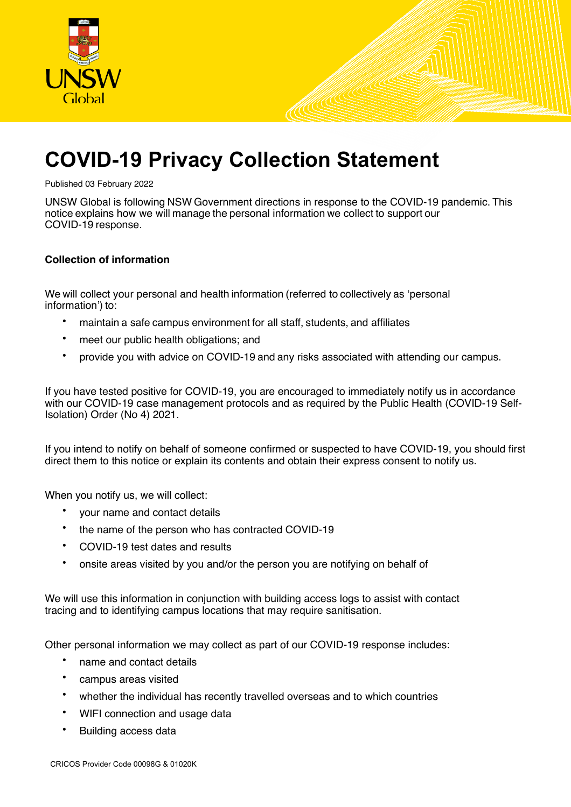

# **COVID-19 Privacy Collection Statement**

Published 03 February 2022

UNSW Global is following NSW Government directions in response to the COVID-19 pandemic. This notice explains how we will manage the personal information we collect to support our COVID-19 response.  

# **Collection of information**

We will collect your personal and health information (referred to collectively as 'personal information') to:

- maintain a safe campus environment for all staff, students, and affiliates
- meet our public health obligations; and
- provide you with advice on COVID-19 and any risks associated with attending our campus.

If you have tested positive for COVID-19, you are encouraged to immediately notify us in accordance with our COVID-19 case management protocols and as required by the Public Health (COVID-19 Self-Isolation) Order (No 4) 2021.

If you intend to notify on behalf of someone confirmed or suspected to have COVID-19, you should first direct them to this notice or explain its contents and obtain their express consent to notify us.

When you notify us, we will collect:

- your name and contact details
- the name of the person who has contracted COVID-19
- COVID-19 test dates and results
- onsite areas visited by you and/or the person you are notifying on behalf of

We will use this information in conjunction with building access logs to assist with contact tracing and to identifying campus locations that may require sanitisation.

Other personal information we may collect as part of our COVID-19 response includes:  

- name and contact details
- campus areas visited
- whether the individual has recently travelled overseas and to which countries
- WIFI connection and usage data
- Building access data